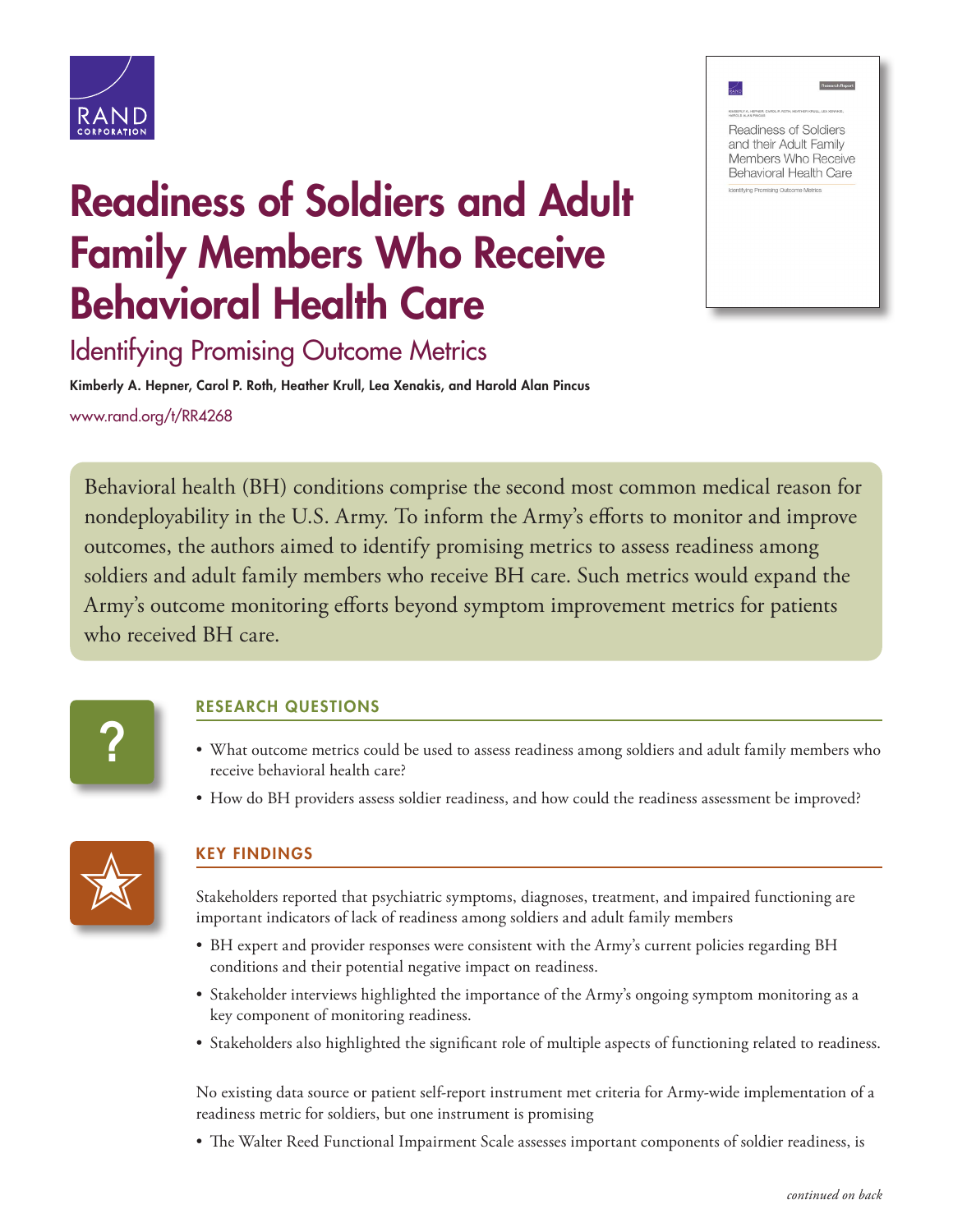





## Identifying Promising Outcome Metrics

Kimberly A. Hepner, Carol P. Roth, Heather Krull, Lea Xenakis, and Harold Alan Pincus [www.rand.org/t/RR4268](http://www.rand.org/t/RR4268)

Behavioral health (BH) conditions comprise the second most common medical reason for nondeployability in the U.S. Army. To inform the Army's efforts to monitor and improve outcomes, the authors aimed to identify promising metrics to assess readiness among soldiers and adult family members who receive BH care. Such metrics would expand the Army's outcome monitoring efforts beyond symptom improvement metrics for patients who received BH care.



## RESEARCH QUESTIONS

- What outcome metrics could be used to assess readiness among soldiers and adult family members who receive behavioral health care?
- How do BH providers assess soldier readiness, and how could the readiness assessment be improved?



## KEY FINDINGS

Stakeholders reported that psychiatric symptoms, diagnoses, treatment, and impaired functioning are important indicators of lack of readiness among soldiers and adult family members

- BH expert and provider responses were consistent with the Army's current policies regarding BH conditions and their potential negative impact on readiness.
- Stakeholder interviews highlighted the importance of the Army's ongoing symptom monitoring as a key component of monitoring readiness.
- Stakeholders also highlighted the significant role of multiple aspects of functioning related to readiness.

No existing data source or patient self-report instrument met criteria for Army-wide implementation of a readiness metric for soldiers, but one instrument is promising

• The Walter Reed Functional Impairment Scale assesses important components of soldier readiness, is